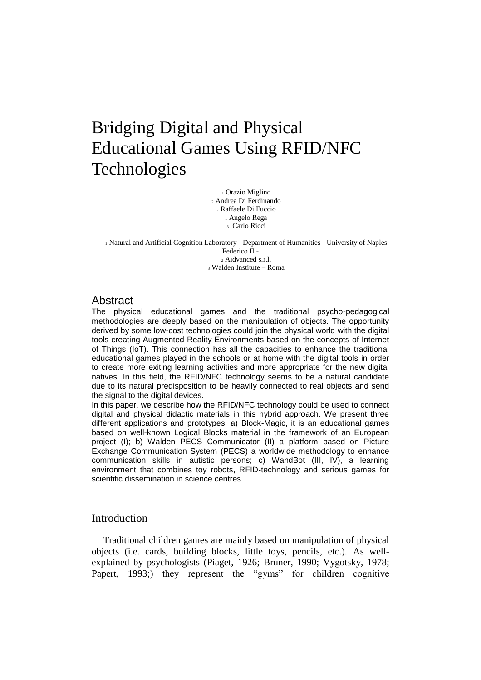# Bridging Digital and Physical Educational Games Using RFID/NFC Technologies

 Orazio Miglino Andrea Di Ferdinando Raffaele Di Fuccio Angelo Rega Carlo Ricci

 Natural and Artificial Cognition Laboratory - Department of Humanities - University of Naples Federico II - Aidvanced s.r.l. Walden Institute – Roma

## Abstract

The physical educational games and the traditional psycho-pedagogical methodologies are deeply based on the manipulation of objects. The opportunity derived by some low-cost technologies could join the physical world with the digital tools creating Augmented Reality Environments based on the concepts of Internet of Things (IoT). This connection has all the capacities to enhance the traditional educational games played in the schools or at home with the digital tools in order to create more exiting learning activities and more appropriate for the new digital natives. In this field, the RFID/NFC technology seems to be a natural candidate due to its natural predisposition to be heavily connected to real objects and send the signal to the digital devices.

In this paper, we describe how the RFID/NFC technology could be used to connect digital and physical didactic materials in this hybrid approach. We present three different applications and prototypes: a) Block-Magic, it is an educational games based on well-known Logical Blocks material in the framework of an European project (I); b) Walden PECS Communicator (II) a platform based on Picture Exchange Communication System (PECS) a worldwide methodology to enhance communication skills in autistic persons; c) WandBot (III, IV), a learning environment that combines toy robots, RFID-technology and serious games for scientific dissemination in science centres.

## Introduction

Traditional children games are mainly based on manipulation of physical objects (i.e. cards, building blocks, little toys, pencils, etc.). As wellexplained by psychologists (Piaget, 1926; Bruner, 1990; Vygotsky, 1978; Papert, 1993;) they represent the "gyms" for children cognitive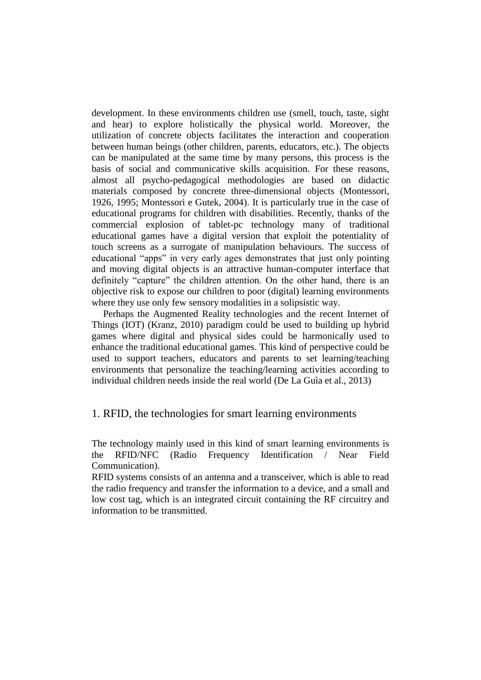development. In these environments children use (smell, touch, taste, sight and hear) to explore holistically the physical world. Moreover, the utilization of concrete objects facilitates the interaction and cooperation between human beings (other children, parents, educators, etc.). The objects can be manipulated at the same time by many persons, this process is the basis of social and communicative skills acquisition. For these reasons, almost all psycho-pedagogical methodologies are based on didactic materials composed by concrete three-dimensional objects (Montessori, 1926, 1995; Montessori e Gutek, 2004). It is particularly true in the case of educational programs for children with disabilities. Recently, thanks of the commercial explosion of tablet-pc technology many of traditional educational games have a digital version that exploit the potentiality of touch screens as a surrogate of manipulation behaviours. The success of educational "apps" in very early ages demonstrates that just only pointing and moving digital objects is an attractive human-computer interface that definitely "capture" the children attention. On the other hand, there is an objective risk to expose our children to poor (digital) learning environments where they use only few sensory modalities in a solipsistic way.

Perhaps the Augmented Reality technologies and the recent Internet of Things (IOT) (Kranz, 2010) paradigm could be used to building up hybrid games where digital and physical sides could be harmonically used to enhance the traditional educational games. This kind of perspective could be used to support teachers, educators and parents to set learning/teaching environments that personalize the teaching/learning activities according to individual children needs inside the real world (De La Guìa et al., 2013)

## 1. RFID, the technologies for smart learning environments

The technology mainly used in this kind of smart learning environments is the RFID/NFC (Radio Frequency Identification / Near Field Communication).

RFID systems consists of an antenna and a transceiver, which is able to read the radio frequency and transfer the information to a device, and a small and low cost tag, which is an integrated circuit containing the RF circuitry and information to be transmitted.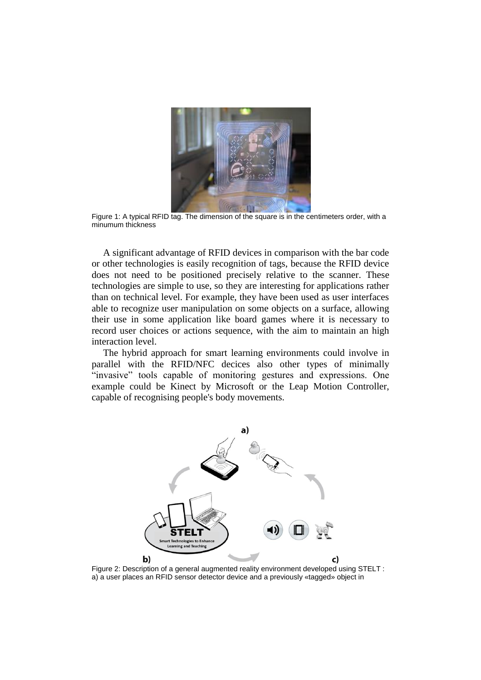

Figure 1: A typical RFID tag. The dimension of the square is in the centimeters order, with a minumum thickness

A significant advantage of RFID devices in comparison with the bar code or other technologies is easily recognition of tags, because the RFID device does not need to be positioned precisely relative to the scanner. These technologies are simple to use, so they are interesting for applications rather than on technical level. For example, they have been used as user interfaces able to recognize user manipulation on some objects on a surface, allowing their use in some application like board games where it is necessary to record user choices or actions sequence, with the aim to maintain an high interaction level.

The hybrid approach for smart learning environments could involve in parallel with the RFID/NFC decices also other types of minimally "invasive" tools capable of monitoring gestures and expressions. One example could be Kinect by Microsoft or the Leap Motion Controller, capable of recognising people's body movements.



<span id="page-2-0"></span>Figure 2: Description of a general augmented reality environment developed using STELT : a) a user places an RFID sensor detector device and a previously «tagged» object in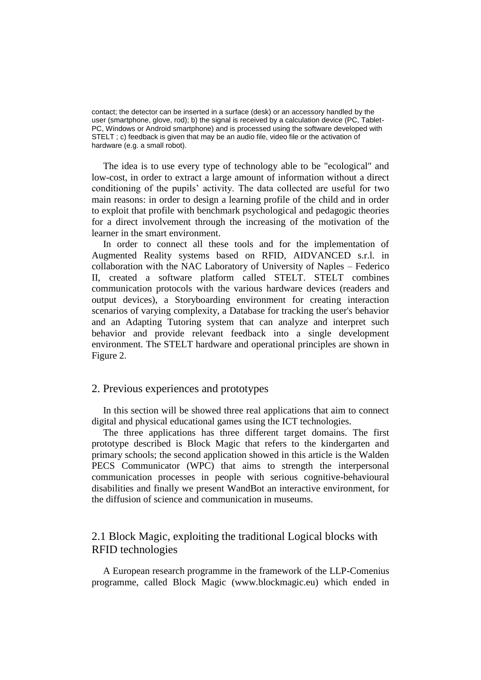contact; the detector can be inserted in a surface (desk) or an accessory handled by the user (smartphone, glove, rod); b) the signal is received by a calculation device (PC, Tablet-PC, Windows or Android smartphone) and is processed using the software developed with STELT ; c) feedback is given that may be an audio file, video file or the activation of hardware (e.g. a small robot).

The idea is to use every type of technology able to be "ecological" and low-cost, in order to extract a large amount of information without a direct conditioning of the pupils' activity. The data collected are useful for two main reasons: in order to design a learning profile of the child and in order to exploit that profile with benchmark psychological and pedagogic theories for a direct involvement through the increasing of the motivation of the learner in the smart environment.

In order to connect all these tools and for the implementation of Augmented Reality systems based on RFID, AIDVANCED s.r.l. in collaboration with the NAC Laboratory of University of Naples – Federico II, created a software platform called STELT. STELT combines communication protocols with the various hardware devices (readers and output devices), a Storyboarding environment for creating interaction scenarios of varying complexity, a Database for tracking the user's behavior and an Adapting Tutoring system that can analyze and interpret such behavior and provide relevant feedback into a single development environment. The STELT hardware and operational principles are shown in [Figure 2.](#page-2-0)

## 2. Previous experiences and prototypes

In this section will be showed three real applications that aim to connect digital and physical educational games using the ICT technologies.

The three applications has three different target domains. The first prototype described is Block Magic that refers to the kindergarten and primary schools; the second application showed in this article is the Walden PECS Communicator (WPC) that aims to strength the interpersonal communication processes in people with serious cognitive-behavioural disabilities and finally we present WandBot an interactive environment, for the diffusion of science and communication in museums.

## 2.1 Block Magic, exploiting the traditional Logical blocks with RFID technologies

A European research programme in the framework of the LLP-Comenius programme, called Block Magic (www.blockmagic.eu) which ended in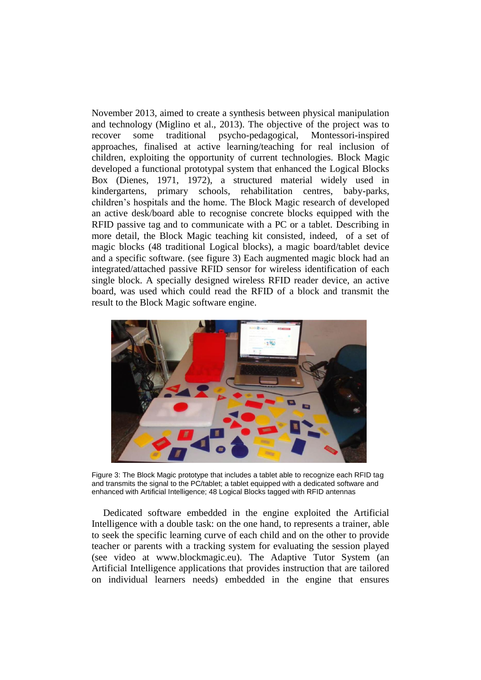November 2013, aimed to create a synthesis between physical manipulation and technology (Miglino et al., 2013). The objective of the project was to recover some traditional psycho-pedagogical, Montessori-inspired approaches, finalised at active learning/teaching for real inclusion of children, exploiting the opportunity of current technologies. Block Magic developed a functional prototypal system that enhanced the Logical Blocks Box (Dienes, 1971, 1972), a structured material widely used in kindergartens, primary schools, rehabilitation centres, baby-parks, children's hospitals and the home. The Block Magic research of developed an active desk/board able to recognise concrete blocks equipped with the RFID passive tag and to communicate with a PC or a tablet. Describing in more detail, the Block Magic teaching kit consisted, indeed, of a set of magic blocks (48 traditional Logical blocks), a magic board/tablet device and a specific software. (see figure 3) Each augmented magic block had an integrated/attached passive RFID sensor for wireless identification of each single block. A specially designed wireless RFID reader device, an active board, was used which could read the RFID of a block and transmit the result to the Block Magic software engine.



Figure 3: The Block Magic prototype that includes a tablet able to recognize each RFID tag and transmits the signal to the PC/tablet; a tablet equipped with a dedicated software and enhanced with Artificial Intelligence; 48 Logical Blocks tagged with RFID antennas

Dedicated software embedded in the engine exploited the Artificial Intelligence with a double task: on the one hand, to represents a trainer, able to seek the specific learning curve of each child and on the other to provide teacher or parents with a tracking system for evaluating the session played (see video at [www.blockmagic.eu\)](http://www.blockmagic.eu/). The Adaptive Tutor System (an Artificial Intelligence applications that provides instruction that are tailored on individual learners needs) embedded in the engine that ensures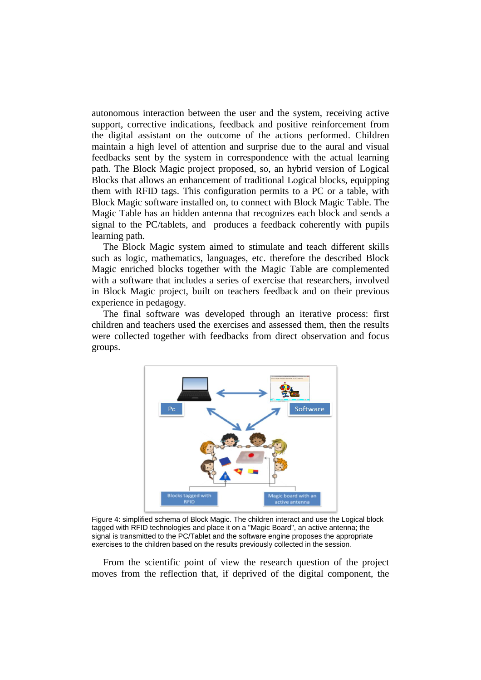autonomous interaction between the user and the system, receiving active support, corrective indications, feedback and positive reinforcement from the digital assistant on the outcome of the actions performed. Children maintain a high level of attention and surprise due to the aural and visual feedbacks sent by the system in correspondence with the actual learning path. The Block Magic project proposed, so, an hybrid version of Logical Blocks that allows an enhancement of traditional Logical blocks, equipping them with RFID tags. This configuration permits to a PC or a table, with Block Magic software installed on, to connect with Block Magic Table. The Magic Table has an hidden antenna that recognizes each block and sends a signal to the PC/tablets, and produces a feedback coherently with pupils learning path.

The Block Magic system aimed to stimulate and teach different skills such as logic, mathematics, languages, etc. therefore the described Block Magic enriched blocks together with the Magic Table are complemented with a software that includes a series of exercise that researchers, involved in Block Magic project, built on teachers feedback and on their previous experience in pedagogy.

The final software was developed through an iterative process: first children and teachers used the exercises and assessed them, then the results were collected together with feedbacks from direct observation and focus groups.



Figure 4: simplified schema of Block Magic. The children interact and use the Logical block tagged with RFID technologies and place it on a "Magic Board", an active antenna; the signal is transmitted to the PC/Tablet and the software engine proposes the appropriate exercises to the children based on the results previously collected in the session.

From the scientific point of view the research question of the project moves from the reflection that, if deprived of the digital component, the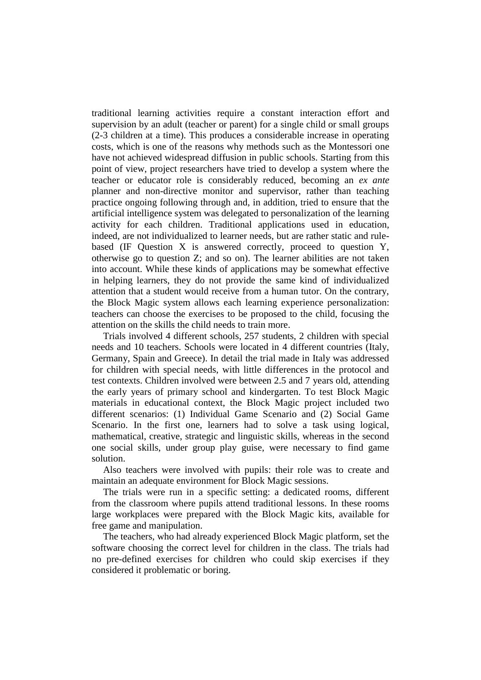traditional learning activities require a constant interaction effort and supervision by an adult (teacher or parent) for a single child or small groups (2-3 children at a time). This produces a considerable increase in operating costs, which is one of the reasons why methods such as the Montessori one have not achieved widespread diffusion in public schools. Starting from this point of view, project researchers have tried to develop a system where the teacher or educator role is considerably reduced, becoming an *ex ante* planner and non-directive monitor and supervisor, rather than teaching practice ongoing following through and, in addition, tried to ensure that the artificial intelligence system was delegated to personalization of the learning activity for each children. Traditional applications used in education, indeed, are not individualized to learner needs, but are rather static and rulebased (IF Question X is answered correctly, proceed to question Y, otherwise go to question Z; and so on). The learner abilities are not taken into account. While these kinds of applications may be somewhat effective in helping learners, they do not provide the same kind of individualized attention that a student would receive from a human tutor. On the contrary, the Block Magic system allows each learning experience personalization: teachers can choose the exercises to be proposed to the child, focusing the attention on the skills the child needs to train more.

Trials involved 4 different schools, 257 students, 2 children with special needs and 10 teachers. Schools were located in 4 different countries (Italy, Germany, Spain and Greece). In detail the trial made in Italy was addressed for children with special needs, with little differences in the protocol and test contexts. Children involved were between 2.5 and 7 years old, attending the early years of primary school and kindergarten. To test Block Magic materials in educational context, the Block Magic project included two different scenarios: (1) Individual Game Scenario and (2) Social Game Scenario. In the first one, learners had to solve a task using logical, mathematical, creative, strategic and linguistic skills, whereas in the second one social skills, under group play guise, were necessary to find game solution.

Also teachers were involved with pupils: their role was to create and maintain an adequate environment for Block Magic sessions.

The trials were run in a specific setting: a dedicated rooms, different from the classroom where pupils attend traditional lessons. In these rooms large workplaces were prepared with the Block Magic kits, available for free game and manipulation.

The teachers, who had already experienced Block Magic platform, set the software choosing the correct level for children in the class. The trials had no pre-defined exercises for children who could skip exercises if they considered it problematic or boring.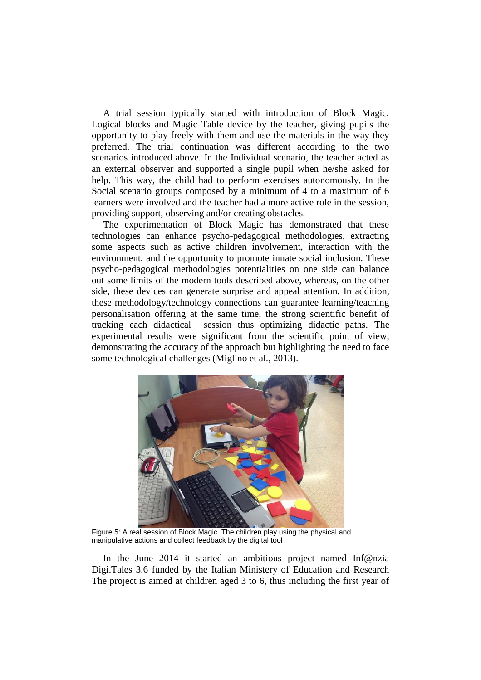A trial session typically started with introduction of Block Magic, Logical blocks and Magic Table device by the teacher, giving pupils the opportunity to play freely with them and use the materials in the way they preferred. The trial continuation was different according to the two scenarios introduced above. In the Individual scenario, the teacher acted as an external observer and supported a single pupil when he/she asked for help. This way, the child had to perform exercises autonomously. In the Social scenario groups composed by a minimum of 4 to a maximum of 6 learners were involved and the teacher had a more active role in the session, providing support, observing and/or creating obstacles.

The experimentation of Block Magic has demonstrated that these technologies can enhance psycho-pedagogical methodologies, extracting some aspects such as active children involvement, interaction with the environment, and the opportunity to promote innate social inclusion. These psycho-pedagogical methodologies potentialities on one side can balance out some limits of the modern tools described above, whereas, on the other side, these devices can generate surprise and appeal attention. In addition, these methodology/technology connections can guarantee learning/teaching personalisation offering at the same time, the strong scientific benefit of tracking each didactical session thus optimizing didactic paths. The experimental results were significant from the scientific point of view, demonstrating the accuracy of the approach but highlighting the need to face some technological challenges (Miglino et al., 2013).



Figure 5: A real session of Block Magic. The children play using the physical and manipulative actions and collect feedback by the digital tool

In the June 2014 it started an ambitious project named Inf@nzia Digi.Tales 3.6 funded by the Italian Ministery of Education and Research The project is aimed at children aged 3 to 6, thus including the first year of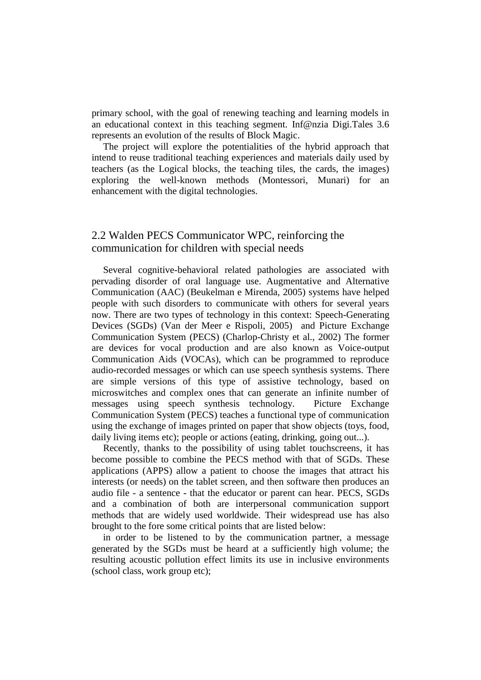primary school, with the goal of renewing teaching and learning models in an educational context in this teaching segment. Inf@nzia Digi.Tales 3.6 represents an evolution of the results of Block Magic.

The project will explore the potentialities of the hybrid approach that intend to reuse traditional teaching experiences and materials daily used by teachers (as the Logical blocks, the teaching tiles, the cards, the images) exploring the well-known methods (Montessori, Munari) for an enhancement with the digital technologies.

## 2.2 Walden PECS Communicator WPC, reinforcing the communication for children with special needs

Several cognitive-behavioral related pathologies are associated with pervading disorder of oral language use. Augmentative and Alternative Communication (AAC) (Beukelman e Mirenda, 2005) systems have helped people with such disorders to communicate with others for several years now. There are two types of technology in this context: Speech-Generating Devices (SGDs) (Van der Meer e Rispoli, 2005) and Picture Exchange Communication System (PECS) (Charlop-Christy et al., 2002) The former are devices for vocal production and are also known as Voice-output Communication Aids (VOCAs), which can be programmed to reproduce audio-recorded messages or which can use speech synthesis systems. There are simple versions of this type of assistive technology, based on microswitches and complex ones that can generate an infinite number of messages using speech synthesis technology. Picture Exchange Communication System (PECS) teaches a functional type of communication using the exchange of images printed on paper that show objects (toys, food, daily living items etc); people or actions (eating, drinking, going out...).

Recently, thanks to the possibility of using tablet touchscreens, it has become possible to combine the PECS method with that of SGDs. These applications (APPS) allow a patient to choose the images that attract his interests (or needs) on the tablet screen, and then software then produces an audio file - a sentence - that the educator or parent can hear. PECS, SGDs and a combination of both are interpersonal communication support methods that are widely used worldwide. Their widespread use has also brought to the fore some critical points that are listed below:

in order to be listened to by the communication partner, a message generated by the SGDs must be heard at a sufficiently high volume; the resulting acoustic pollution effect limits its use in inclusive environments (school class, work group etc);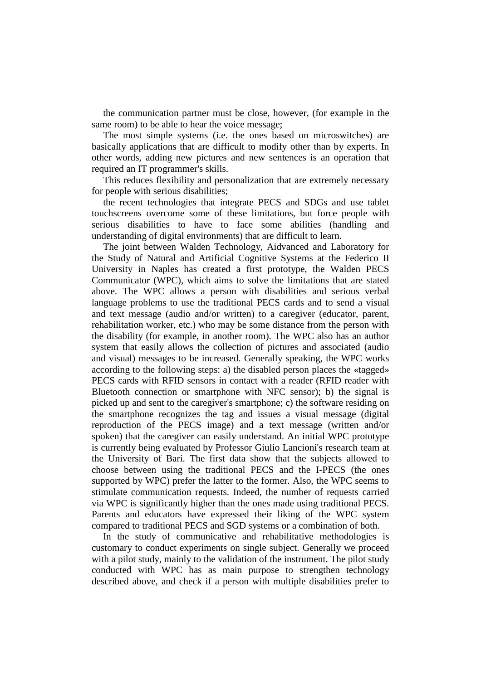the communication partner must be close, however, (for example in the same room) to be able to hear the voice message;

The most simple systems (i.e. the ones based on microswitches) are basically applications that are difficult to modify other than by experts. In other words, adding new pictures and new sentences is an operation that required an IT programmer's skills.

This reduces flexibility and personalization that are extremely necessary for people with serious disabilities;

the recent technologies that integrate PECS and SDGs and use tablet touchscreens overcome some of these limitations, but force people with serious disabilities to have to face some abilities (handling and understanding of digital environments) that are difficult to learn.

The joint between Walden Technology, Aidvanced and Laboratory for the Study of Natural and Artificial Cognitive Systems at the Federico II University in Naples has created a first prototype, the Walden PECS Communicator (WPC), which aims to solve the limitations that are stated above. The WPC allows a person with disabilities and serious verbal language problems to use the traditional PECS cards and to send a visual and text message (audio and/or written) to a caregiver (educator, parent, rehabilitation worker, etc.) who may be some distance from the person with the disability (for example, in another room). The WPC also has an author system that easily allows the collection of pictures and associated (audio and visual) messages to be increased. Generally speaking, the WPC works according to the following steps: a) the disabled person places the «tagged» PECS cards with RFID sensors in contact with a reader (RFID reader with Bluetooth connection or smartphone with NFC sensor); b) the signal is picked up and sent to the caregiver's smartphone; c) the software residing on the smartphone recognizes the tag and issues a visual message (digital reproduction of the PECS image) and a text message (written and/or spoken) that the caregiver can easily understand. An initial WPC prototype is currently being evaluated by Professor Giulio Lancioni's research team at the University of Bari. The first data show that the subjects allowed to choose between using the traditional PECS and the I-PECS (the ones supported by WPC) prefer the latter to the former. Also, the WPC seems to stimulate communication requests. Indeed, the number of requests carried via WPC is significantly higher than the ones made using traditional PECS. Parents and educators have expressed their liking of the WPC system compared to traditional PECS and SGD systems or a combination of both.

In the study of communicative and rehabilitative methodologies is customary to conduct experiments on single subject. Generally we proceed with a pilot study, mainly to the validation of the instrument. The pilot study conducted with WPC has as main purpose to strengthen technology described above, and check if a person with multiple disabilities prefer to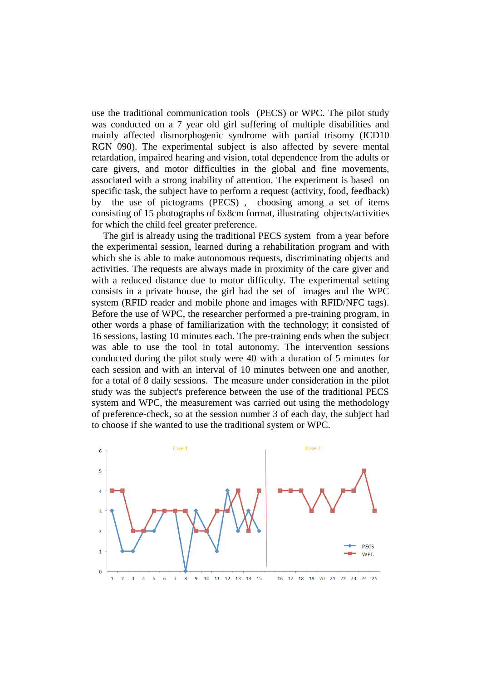use the traditional communication tools (PECS) or WPC. The pilot study was conducted on a 7 year old girl suffering of multiple disabilities and mainly affected dismorphogenic syndrome with partial trisomy (ICD10 RGN 090). The experimental subject is also affected by severe mental retardation, impaired hearing and vision, total dependence from the adults or care givers, and motor difficulties in the global and fine movements, associated with a strong inability of attention. The experiment is based on specific task, the subject have to perform a request (activity, food, feedback) by the use of pictograms (PECS) , choosing among a set of items consisting of 15 photographs of 6x8cm format, illustrating objects/activities for which the child feel greater preference.

The girl is already using the traditional PECS system from a year before the experimental session, learned during a rehabilitation program and with which she is able to make autonomous requests, discriminating objects and activities. The requests are always made in proximity of the care giver and with a reduced distance due to motor difficulty. The experimental setting consists in a private house, the girl had the set of images and the WPC system (RFID reader and mobile phone and images with RFID/NFC tags). Before the use of WPC, the researcher performed a pre-training program, in other words a phase of familiarization with the technology; it consisted of 16 sessions, lasting 10 minutes each. The pre-training ends when the subject was able to use the tool in total autonomy. The intervention sessions conducted during the pilot study were 40 with a duration of 5 minutes for each session and with an interval of 10 minutes between one and another, for a total of 8 daily sessions. The measure under consideration in the pilot study was the subject's preference between the use of the traditional PECS system and WPC, the measurement was carried out using the methodology of preference-check, so at the session number 3 of each day, the subject had to choose if she wanted to use the traditional system or WPC.

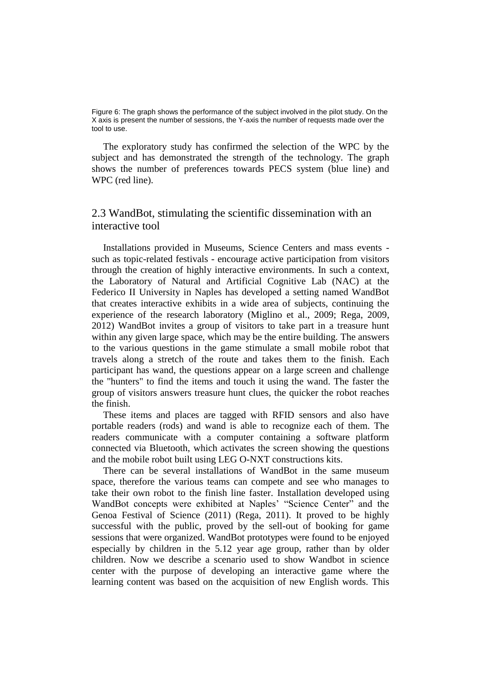Figure 6: The graph shows the performance of the subject involved in the pilot study. On the X axis is present the number of sessions, the Y-axis the number of requests made over the tool to use.

The exploratory study has confirmed the selection of the WPC by the subject and has demonstrated the strength of the technology. The graph shows the number of preferences towards PECS system (blue line) and WPC (red line).

## 2.3 WandBot, stimulating the scientific dissemination with an interactive tool

Installations provided in Museums, Science Centers and mass events such as topic-related festivals - encourage active participation from visitors through the creation of highly interactive environments. In such a context, the Laboratory of Natural and Artificial Cognitive Lab (NAC) at the Federico II University in Naples has developed a setting named WandBot that creates interactive exhibits in a wide area of subjects, continuing the experience of the research laboratory (Miglino et al., 2009; Rega, 2009, 2012) WandBot invites a group of visitors to take part in a treasure hunt within any given large space, which may be the entire building. The answers to the various questions in the game stimulate a small mobile robot that travels along a stretch of the route and takes them to the finish. Each participant has wand, the questions appear on a large screen and challenge the "hunters" to find the items and touch it using the wand. The faster the group of visitors answers treasure hunt clues, the quicker the robot reaches the finish.

These items and places are tagged with RFID sensors and also have portable readers (rods) and wand is able to recognize each of them. The readers communicate with a computer containing a software platform connected via Bluetooth, which activates the screen showing the questions and the mobile robot built using LEG O-NXT constructions kits.

There can be several installations of WandBot in the same museum space, therefore the various teams can compete and see who manages to take their own robot to the finish line faster. Installation developed using WandBot concepts were exhibited at Naples' "Science Center" and the Genoa Festival of Science (2011) (Rega, 2011). It proved to be highly successful with the public, proved by the sell-out of booking for game sessions that were organized. WandBot prototypes were found to be enjoyed especially by children in the 5.12 year age group, rather than by older children. Now we describe a scenario used to show Wandbot in science center with the purpose of developing an interactive game where the learning content was based on the acquisition of new English words. This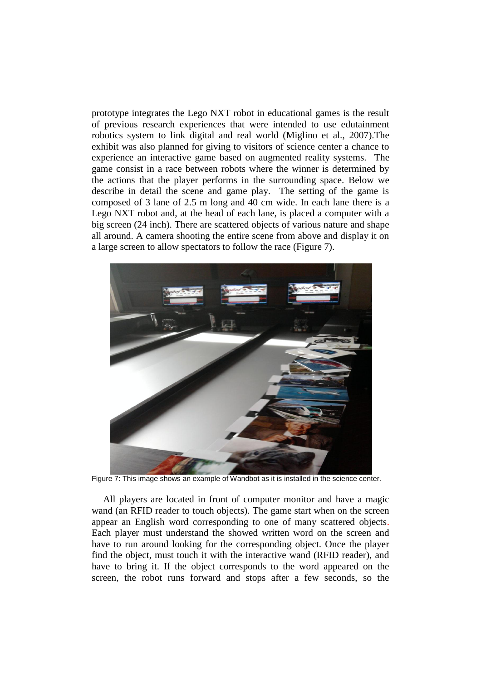prototype integrates the Lego NXT robot in educational games is the result of previous research experiences that were intended to use edutainment robotics system to link digital and real world (Miglino et al., 2007).The exhibit was also planned for giving to visitors of science center a chance to experience an interactive game based on augmented reality systems. The game consist in a race between robots where the winner is determined by the actions that the player performs in the surrounding space. Below we describe in detail the scene and game play. The setting of the game is composed of 3 lane of 2.5 m long and 40 cm wide. In each lane there is a Lego NXT robot and, at the head of each lane, is placed a computer with a big screen (24 inch). There are scattered objects of various nature and shape all around. A camera shooting the entire scene from above and display it on a large screen to allow spectators to follow the race (Figure 7).



Figure 7: This image shows an example of Wandbot as it is installed in the science center.

All players are located in front of computer monitor and have a magic wand (an RFID reader to touch objects). The game start when on the screen appear an English word corresponding to one of many scattered objects. Each player must understand the showed written word on the screen and have to run around looking for the corresponding object. Once the player find the object, must touch it with the interactive wand (RFID reader), and have to bring it. If the object corresponds to the word appeared on the screen, the robot runs forward and stops after a few seconds, so the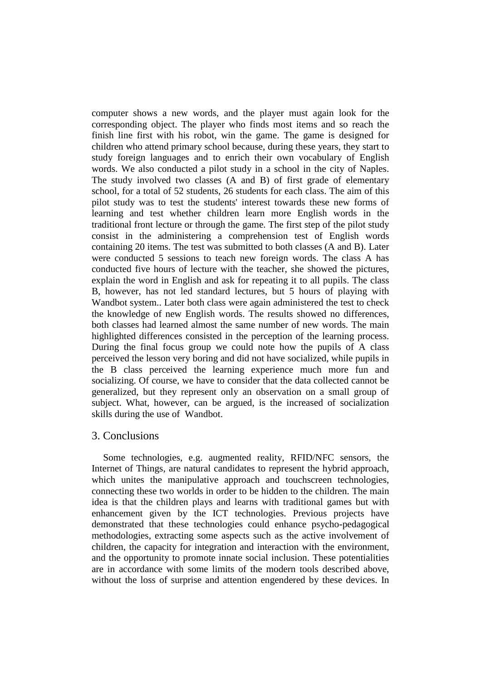computer shows a new words, and the player must again look for the corresponding object. The player who finds most items and so reach the finish line first with his robot, win the game. The game is designed for children who attend primary school because, during these years, they start to study foreign languages and to enrich their own vocabulary of English words. We also conducted a pilot study in a school in the city of Naples. The study involved two classes (A and B) of first grade of elementary school, for a total of 52 students, 26 students for each class. The aim of this pilot study was to test the students' interest towards these new forms of learning and test whether children learn more English words in the traditional front lecture or through the game. The first step of the pilot study consist in the administering a comprehension test of English words containing 20 items. The test was submitted to both classes (A and B). Later were conducted 5 sessions to teach new foreign words. The class A has conducted five hours of lecture with the teacher, she showed the pictures, explain the word in English and ask for repeating it to all pupils. The class B, however, has not led standard lectures, but 5 hours of playing with Wandbot system.. Later both class were again administered the test to check the knowledge of new English words. The results showed no differences, both classes had learned almost the same number of new words. The main highlighted differences consisted in the perception of the learning process. During the final focus group we could note how the pupils of A class perceived the lesson very boring and did not have socialized, while pupils in the B class perceived the learning experience much more fun and socializing. Of course, we have to consider that the data collected cannot be generalized, but they represent only an observation on a small group of subject. What, however, can be argued, is the increased of socialization skills during the use of Wandbot.

## 3. Conclusions

Some technologies, e.g. augmented reality, RFID/NFC sensors, the Internet of Things, are natural candidates to represent the hybrid approach, which unites the manipulative approach and touchscreen technologies, connecting these two worlds in order to be hidden to the children. The main idea is that the children plays and learns with traditional games but with enhancement given by the ICT technologies. Previous projects have demonstrated that these technologies could enhance psycho-pedagogical methodologies, extracting some aspects such as the active involvement of children, the capacity for integration and interaction with the environment, and the opportunity to promote innate social inclusion. These potentialities are in accordance with some limits of the modern tools described above, without the loss of surprise and attention engendered by these devices. In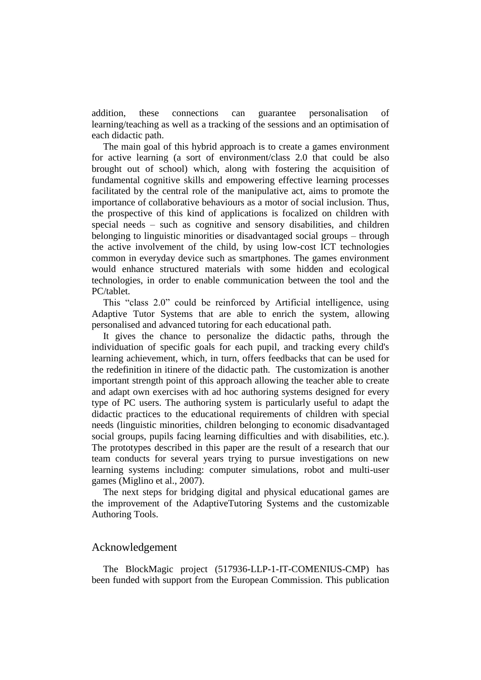addition, these connections can guarantee personalisation of learning/teaching as well as a tracking of the sessions and an optimisation of each didactic path.

The main goal of this hybrid approach is to create a games environment for active learning (a sort of environment/class 2.0 that could be also brought out of school) which, along with fostering the acquisition of fundamental cognitive skills and empowering effective learning processes facilitated by the central role of the manipulative act, aims to promote the importance of collaborative behaviours as a motor of social inclusion. Thus, the prospective of this kind of applications is focalized on children with special needs – such as cognitive and sensory disabilities, and children belonging to linguistic minorities or disadvantaged social groups – through the active involvement of the child, by using low-cost ICT technologies common in everyday device such as smartphones. The games environment would enhance structured materials with some hidden and ecological technologies, in order to enable communication between the tool and the PC/tablet.

This "class 2.0" could be reinforced by Artificial intelligence, using Adaptive Tutor Systems that are able to enrich the system, allowing personalised and advanced tutoring for each educational path.

It gives the chance to personalize the didactic paths, through the individuation of specific goals for each pupil, and tracking every child's learning achievement, which, in turn, offers feedbacks that can be used for the redefinition in itinere of the didactic path. The customization is another important strength point of this approach allowing the teacher able to create and adapt own exercises with ad hoc authoring systems designed for every type of PC users. The authoring system is particularly useful to adapt the didactic practices to the educational requirements of children with special needs (linguistic minorities, children belonging to economic disadvantaged social groups, pupils facing learning difficulties and with disabilities, etc.). The prototypes described in this paper are the result of a research that our team conducts for several years trying to pursue investigations on new learning systems including: computer simulations, robot and multi-user games (Miglino et al., 2007).

The next steps for bridging digital and physical educational games are the improvement of the AdaptiveTutoring Systems and the customizable Authoring Tools.

## Acknowledgement

The BlockMagic project (517936-LLP-1-IT-COMENIUS-CMP) has been funded with support from the European Commission. This publication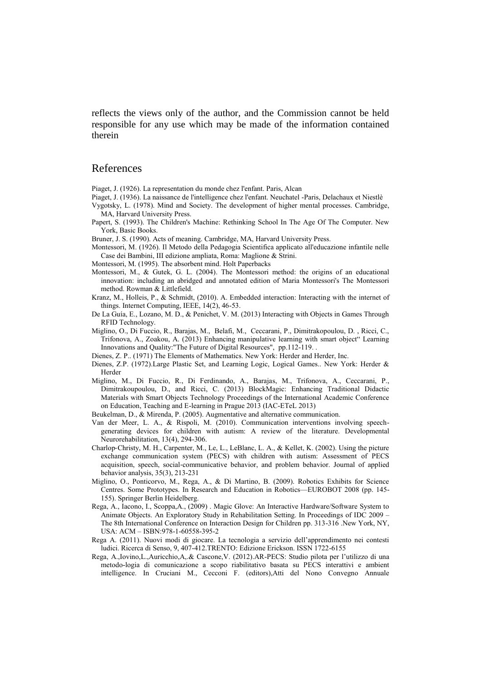reflects the views only of the author, and the Commission cannot be held responsible for any use which may be made of the information contained therein

#### References

Piaget, J. (1926). La representation du monde chez l'enfant. Paris, Alcan

- Piaget, J. (1936). La naissance de l'intelligence chez l'enfant. Neuchatel -Paris, Delachaux et Niestlè Vygotsky, L. (1978). Mind and Society. The development of higher mental processes. Cambridge,
- MA, Harvard University Press. Papert, S. (1993). The Children's Machine: Rethinking School In The Age Of The Computer. New
- York, Basic Books.
- Bruner, J. S. (1990). Acts of meaning. Cambridge, MA, Harvard University Press.
- Montessori, M. (1926). Il Metodo della Pedagogia Scientifica applicato all'educazione infantile nelle Case dei Bambini, III edizione ampliata, Roma: Maglione & Strini.
- Montessori, M. (1995). The absorbent mind. Holt Paperbacks
- Montessori, M., & Gutek, G. L. (2004). The Montessori method: the origins of an educational innovation: including an abridged and annotated edition of Maria Montessori's The Montessori method. Rowman & Littlefield.
- Kranz, M., Holleis, P., & Schmidt, (2010). A. Embedded interaction: Interacting with the internet of things. Internet Computing, IEEE, 14(2), 46-53.
- De La Guía, E., Lozano, M. D., & Penichet, V. M. (2013) Interacting with Objects in Games Through RFID Technology.
- Miglino, O., Di Fuccio, R., Barajas, M., Belafi, M., Ceccarani, P., Dimitrakopoulou, D. , Ricci, C., Trifonova, A., Zoakou, A. (2013) Enhancing manipulative learning with smart object" Learning Innovations and Quality:"The Future of Digital Resources", pp.112-119. .
- Dienes, Z. P.. (1971) The Elements of Mathematics. New York: Herder and Herder, Inc.
- Dienes, Z.P. (1972).Large Plastic Set, and Learning Logic, Logical Games.. New York: Herder & Herder
- Miglino, M., Di Fuccio, R., Di Ferdinando, A., Barajas, M., Trifonova, A., Ceccarani, P., Dimitrakoupoulou, D., and Ricci, C. (2013) BlockMagic: Enhancing Traditional Didactic Materials with Smart Objects Technology Proceedings of the International Academic Conference on Education, Teaching and E-learning in Prague 2013 (IAC-ETeL 2013)
- Beukelman, D., & Mirenda, P. (2005). Augmentative and alternative communication.
- Van der Meer, L. A., & Rispoli, M. (2010). Communication interventions involving speechgenerating devices for children with autism: A review of the literature. Developmental Neurorehabilitation, 13(4), 294-306.
- Charlop-Christy, M. H., Carpenter, M., Le, L., LeBlanc, L. A., & Kellet, K. (2002). Using the picture exchange communication system (PECS) with children with autism: Assessment of PECS acquisition, speech, social‐communicative behavior, and problem behavior. Journal of applied behavior analysis, 35(3), 213-231
- Miglino, O., Ponticorvo, M., Rega, A., & Di Martino, B. (2009). Robotics Exhibits for Science Centres. Some Prototypes. In Research and Education in Robotics—EUROBOT 2008 (pp. 145- 155). Springer Berlin Heidelberg.
- Rega, A., Iacono, I., Scoppa,A., (2009) . Magic Glove: An Interactive Hardware/Software System to Animate Objects. An Exploratory Study in Rehabilitation Setting. In Proceedings of IDC 2009 – The 8th International Conference on Interaction Design for Children pp. 313-316 .New York, NY, USA: ACM – ISBN:978-1-60558-395-2
- Rega A. (2011). Nuovi modi di giocare. La tecnologia a servizio dell'apprendimento nei contesti ludici. Ricerca di Senso, 9, 407-412.TRENTO: Edizione Erickson. ISSN 1722-6155
- Rega, A.,Iovino,L.,Auricchio,A,.& Cascone,V. (2012).AR-PECS: Studio pilota per l'utilizzo di una metodo-logia di comunicazione a scopo riabilitativo basata su PECS interattivi e ambient intelligence. In Cruciani M., Cecconi F. (editors),Atti del Nono Convegno Annuale